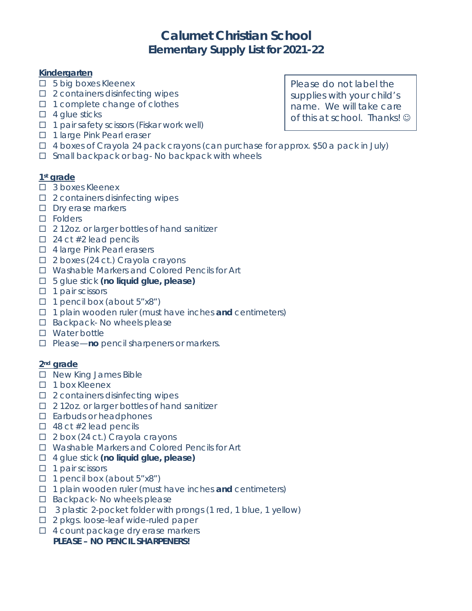# **Calumet Christian School Elementary Supply List for 2021-22**

## **Kindergarten**

- □ 5 big boxes Kleenex
- $\square$  2 containers disinfecting wipes
- $\Box$  1 complete change of clothes
- $\Box$  4 glue sticks
- $\Box$  1 pair safety scissors (Fiskar work well)
- □ 1 large Pink Pearl eraser
- $\Box$  4 boxes of Crayola 24 pack crayons (can purchase for approx. \$50 a pack in July)
- $\square$  Small backpack or bag- No backpack with wheels

## **1st grade**

- □ 3 boxes Kleenex
- $\square$  2 containers disinfecting wipes
- $\square$  Dry erase markers
- □ Folders
- □ 212oz. or larger bottles of hand sanitizer
- $\Box$  24 ct #2 lead pencils
- □ 4 large Pink Pearl erasers
- $\Box$  2 boxes (24 ct.) Crayola crayons
- □ Washable Markers and Colored Pencils for Art
- 5 glue stick **(no liquid glue, please)**
- $\Box$  1 pair scissors
- $\Box$  1 pencil box (about 5"x8")
- 1 plain wooden ruler (must have inches **and** centimeters)
- $\square$  Backpack- No wheels please
- □ Water bottle
- □ Please—**no** pencil sharpeners or markers.

# **2nd grade**

- □ New King James Bible
- $\Box$  1 box Kleenex
- $\square$  2 containers disinfecting wipes
- □ 212oz. or larger bottles of hand sanitizer
- $\square$  Earbuds or headphones
- $\Box$  48 ct #2 lead pencils
- $\Box$  2 box (24 ct.) Crayola crayons
- □ Washable Markers and Colored Pencils for Art
- 4 glue stick **(no liquid glue, please)**
- $\Box$  1 pair scissors
- $\Box$  1 pencil box (about 5"x8")
- 1 plain wooden ruler (must have inches **and** centimeters)
- $\square$  Backpack- No wheels please
- $\Box$  3 plastic 2-pocket folder with prongs (1 red, 1 blue, 1 yellow)
- □ 2 pkgs. loose-leaf wide-ruled paper
- $\Box$  4 count package dry erase markers

# **PLEASE – NO PENCIL SHARPENERS!**

Please do not label the supplies with your child's name. We will take care of this at school. Thanks!